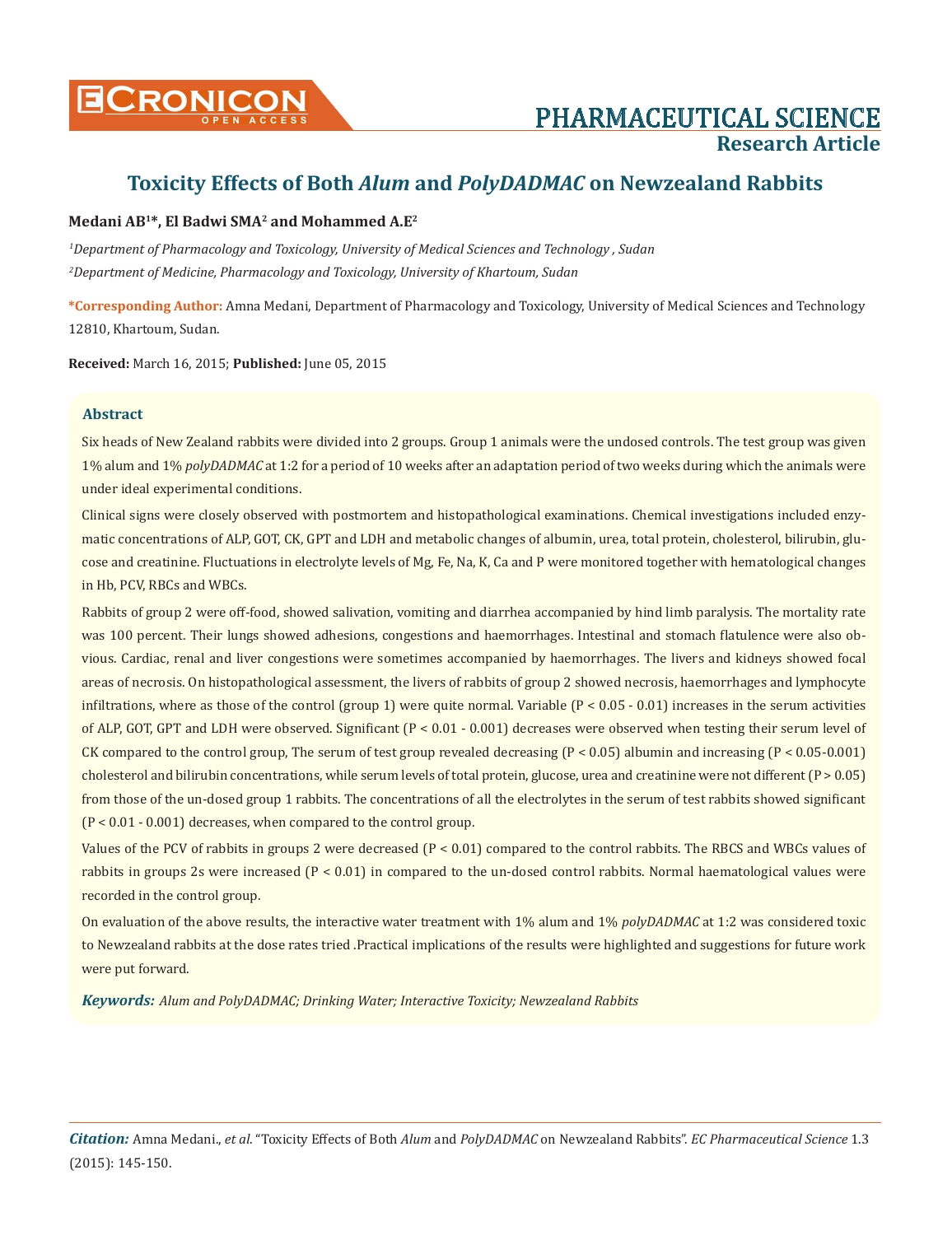

# **Toxicity Effects of Both** *Alum* **and** *PolyDADMAC* **on Newzealand Rabbits**

# **Medani AB1\*, El Badwi SMA2 and Mohammed A.E2**

*1 Department of Pharmacology and Toxicology, University of Medical Sciences and Technology , Sudan 2 Department of Medicine, Pharmacology and Toxicology, University of Khartoum, Sudan*

**\*Corresponding Author:** Amna Medani, Department of Pharmacology and Toxicology, University of Medical Sciences and Technology 12810, Khartoum, Sudan.

**Received:** March 16, 2015; **Published:** June 05, 2015

# **Abstract**

Six heads of New Zealand rabbits were divided into 2 groups. Group 1 animals were the undosed controls. The test group was given 1% alum and 1% *polyDADMAC* at 1:2 for a period of 10 weeks after an adaptation period of two weeks during which the animals were under ideal experimental conditions.

Clinical signs were closely observed with postmortem and histopathological examinations. Chemical investigations included enzymatic concentrations of ALP, GOT, CK, GPT and LDH and metabolic changes of albumin, urea, total protein, cholesterol, bilirubin, glucose and creatinine. Fluctuations in electrolyte levels of Mg, Fe, Na, K, Ca and P were monitored together with hematological changes in Hb, PCV, RBCs and WBCs.

Rabbits of group 2 were off-food, showed salivation, vomiting and diarrhea accompanied by hind limb paralysis. The mortality rate was 100 percent. Their lungs showed adhesions, congestions and haemorrhages. Intestinal and stomach flatulence were also obvious. Cardiac, renal and liver congestions were sometimes accompanied by haemorrhages. The livers and kidneys showed focal areas of necrosis. On histopathological assessment, the livers of rabbits of group 2 showed necrosis, haemorrhages and lymphocyte infiltrations, where as those of the control (group 1) were quite normal. Variable  $(P < 0.05 - 0.01)$  increases in the serum activities of ALP, GOT, GPT and LDH were observed. Significant (P < 0.01 - 0.001) decreases were observed when testing their serum level of CK compared to the control group, The serum of test group revealed decreasing (P < 0.05) albumin and increasing (P < 0.05-0.001) cholesterol and bilirubin concentrations, while serum levels of total protein, glucose, urea and creatinine were not different (P > 0.05) from those of the un-dosed group 1 rabbits. The concentrations of all the electrolytes in the serum of test rabbits showed significant (P < 0.01 - 0.001) decreases, when compared to the control group.

Values of the PCV of rabbits in groups 2 were decreased (P < 0.01) compared to the control rabbits. The RBCS and WBCs values of rabbits in groups 2s were increased (P < 0.01) in compared to the un-dosed control rabbits. Normal haematological values were recorded in the control group.

On evaluation of the above results, the interactive water treatment with 1% alum and 1% *polyDADMAC* at 1:2 was considered toxic to Newzealand rabbits at the dose rates tried .Practical implications of the results were highlighted and suggestions for future work were put forward.

*Keywords: Alum and PolyDADMAC; Drinking Water; Interactive Toxicity; Newzealand Rabbits*

*Citation:* Amna Medani., *et al*. "Toxicity Effects of Both *Alum* and *PolyDADMAC* on Newzealand Rabbits". *EC Pharmaceutical Science* 1.3 (2015): 145-150.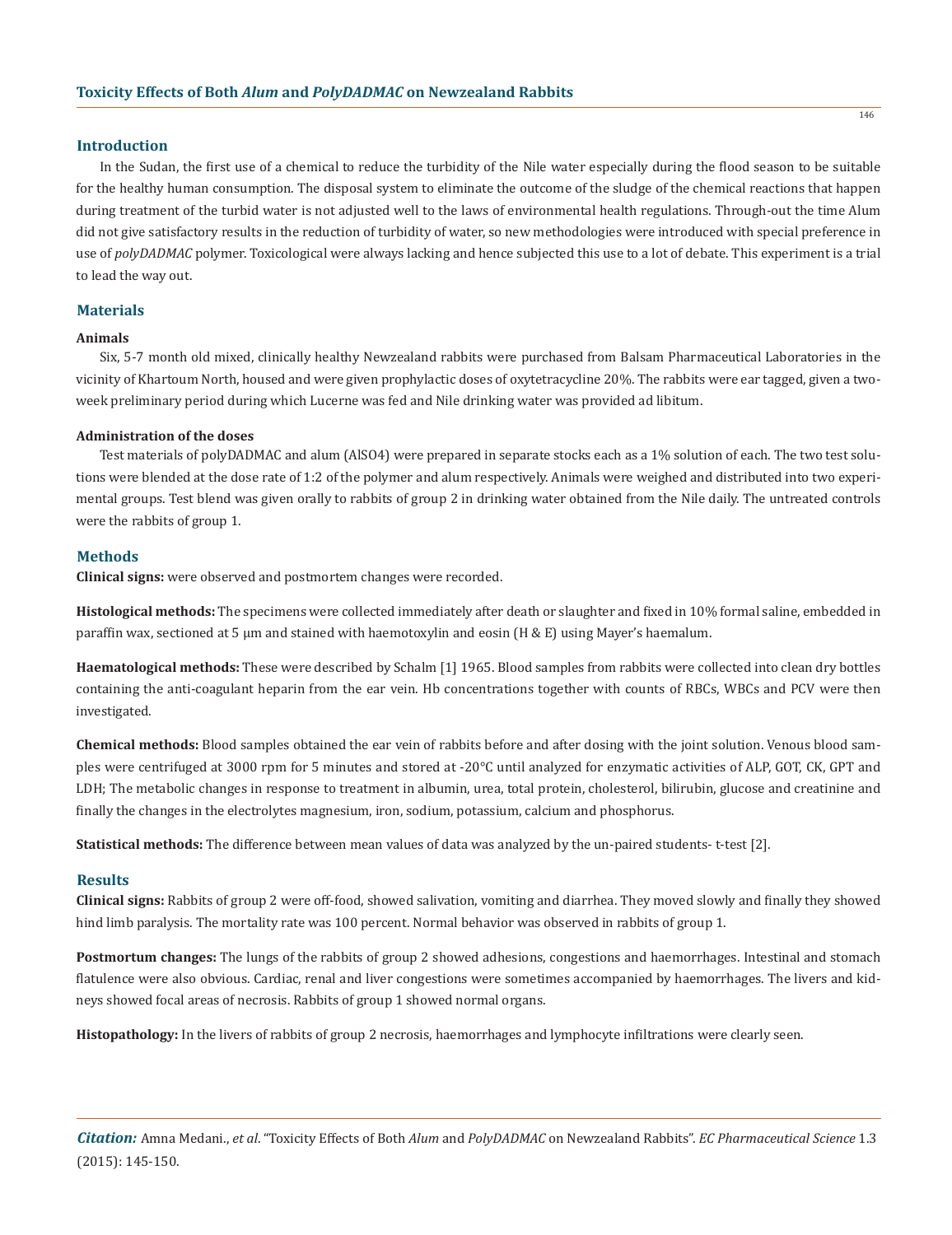### **Introduction**

In the Sudan, the first use of a chemical to reduce the turbidity of the Nile water especially during the flood season to be suitable for the healthy human consumption. The disposal system to eliminate the outcome of the sludge of the chemical reactions that happen during treatment of the turbid water is not adjusted well to the laws of environmental health regulations. Through-out the time Alum did not give satisfactory results in the reduction of turbidity of water, so new methodologies were introduced with special preference in use of *polyDADMAC* polymer. Toxicological were always lacking and hence subjected this use to a lot of debate. This experiment is a trial to lead the way out.

## **Materials**

## **Animals**

Six, 5-7 month old mixed, clinically healthy Newzealand rabbits were purchased from Balsam Pharmaceutical Laboratories in the vicinity of Khartoum North, housed and were given prophylactic doses of oxytetracycline 20%. The rabbits were ear tagged, given a twoweek preliminary period during which Lucerne was fed and Nile drinking water was provided ad libitum.

#### **Administration of the doses**

Test materials of polyDADMAC and alum (AlSO4) were prepared in separate stocks each as a 1% solution of each. The two test solutions were blended at the dose rate of 1:2 of the polymer and alum respectively. Animals were weighed and distributed into two experimental groups. Test blend was given orally to rabbits of group 2 in drinking water obtained from the Nile daily. The untreated controls were the rabbits of group 1.

## **Methods**

**Clinical signs:** were observed and postmortem changes were recorded.

**Histological methods:** The specimens were collected immediately after death or slaughter and fixed in 10% formal saline, embedded in paraffin wax, sectioned at 5 µm and stained with haemotoxylin and eosin (H & E) using Mayer's haemalum.

**Haematological methods:** These were described by Schalm [1] 1965. Blood samples from rabbits were collected into clean dry bottles containing the anti-coagulant heparin from the ear vein. Hb concentrations together with counts of RBCs, WBCs and PCV were then investigated.

**Chemical methods:** Blood samples obtained the ear vein of rabbits before and after dosing with the joint solution. Venous blood samples were centrifuged at 3000 rpm for 5 minutes and stored at -20°C until analyzed for enzymatic activities of ALP, GOT, CK, GPT and LDH; The metabolic changes in response to treatment in albumin, urea, total protein, cholesterol, bilirubin, glucose and creatinine and finally the changes in the electrolytes magnesium, iron, sodium, potassium, calcium and phosphorus.

**Statistical methods:** The difference between mean values of data was analyzed by the un-paired students- t-test [2].

#### **Results**

**Clinical signs:** Rabbits of group 2 were off-food, showed salivation, vomiting and diarrhea. They moved slowly and finally they showed hind limb paralysis. The mortality rate was 100 percent. Normal behavior was observed in rabbits of group 1.

**Postmortum changes:** The lungs of the rabbits of group 2 showed adhesions, congestions and haemorrhages. Intestinal and stomach flatulence were also obvious. Cardiac, renal and liver congestions were sometimes accompanied by haemorrhages. The livers and kidneys showed focal areas of necrosis. Rabbits of group 1 showed normal organs.

**Histopathology:** In the livers of rabbits of group 2 necrosis, haemorrhages and lymphocyte infiltrations were clearly seen.

*Citation:* Amna Medani., *et al*. "Toxicity Effects of Both *Alum* and *PolyDADMAC* on Newzealand Rabbits". *EC Pharmaceutical Science* 1.3 (2015): 145-150.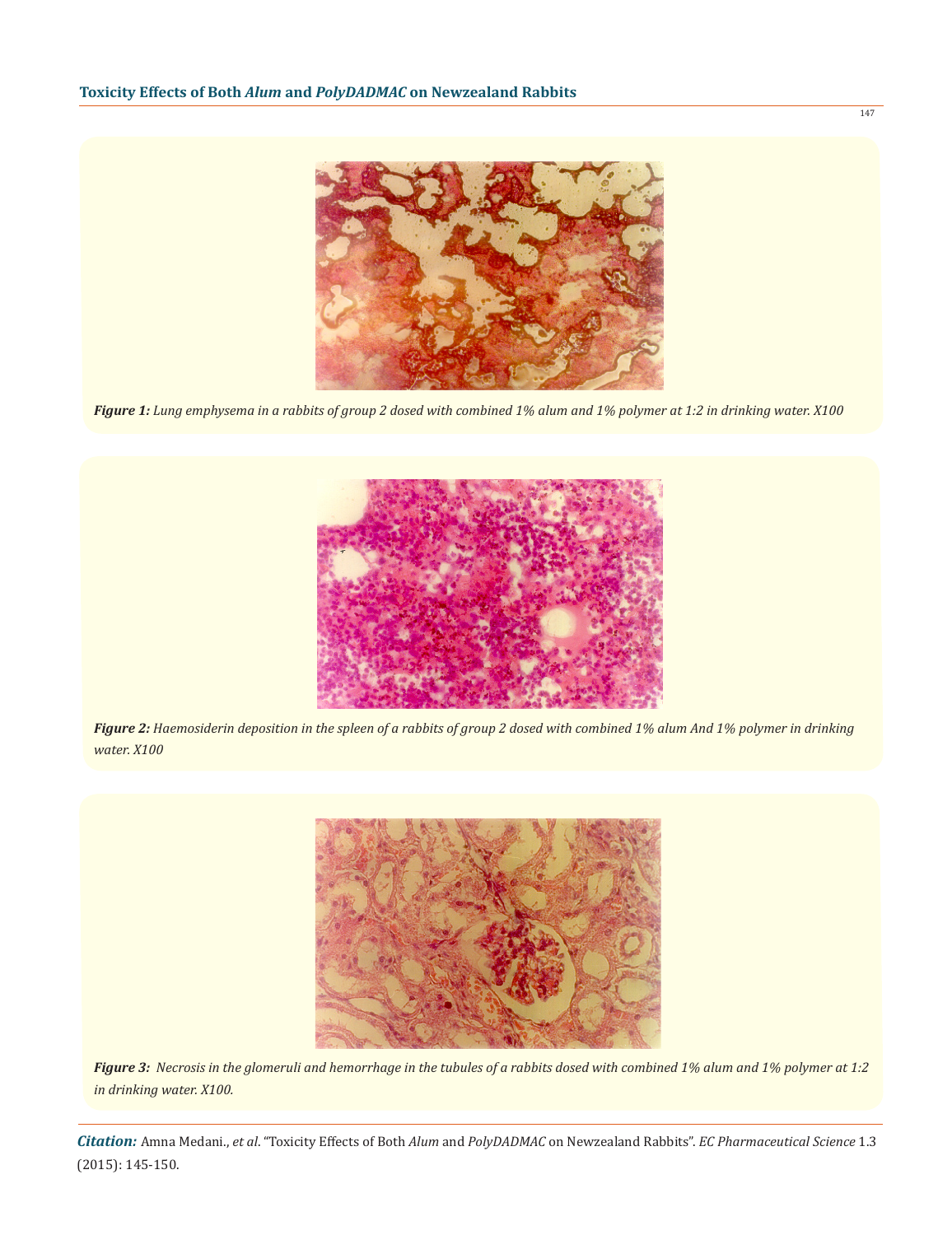

*Figure 1: Lung emphysema in a rabbits of group 2 dosed with combined 1% alum and 1% polymer at 1:2 in drinking water. X100*



*Figure 2: Haemosiderin deposition in the spleen of a rabbits of group 2 dosed with combined 1% alum And 1% polymer in drinking water. X100*



*Figure 3: Necrosis in the glomeruli and hemorrhage in the tubules of a rabbits dosed with combined 1% alum and 1% polymer at 1:2 in drinking water. X100.*

*Citation:* Amna Medani., *et al*. "Toxicity Effects of Both *Alum* and *PolyDADMAC* on Newzealand Rabbits". *EC Pharmaceutical Science* 1.3 (2015): 145-150.

147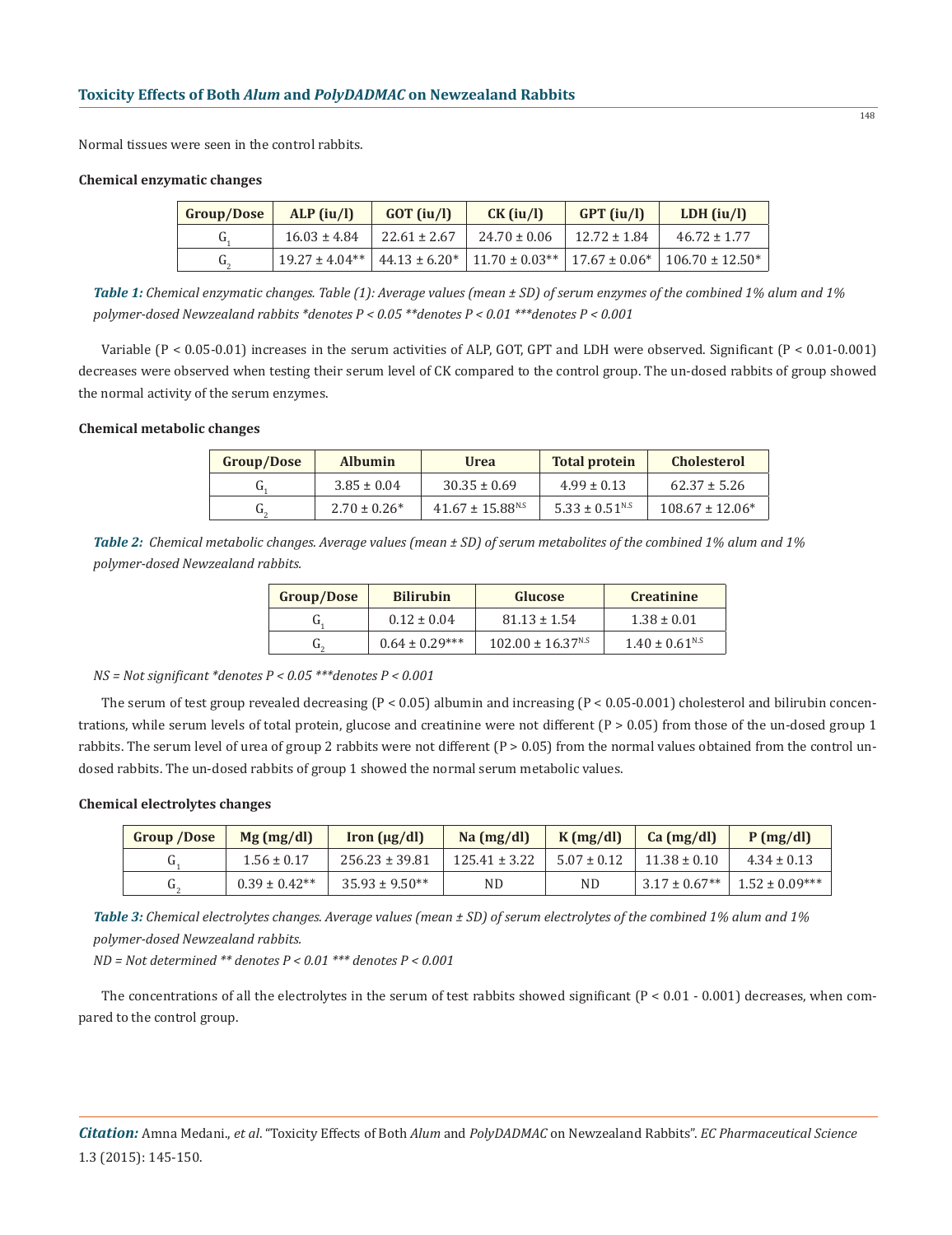Normal tissues were seen in the control rabbits.

#### **Chemical enzymatic changes**

| Group/Dose     | $ALP$ (iu/l)       | $GOT$ (iu/l)     | $CK$ (iu/l)      | $GPT$ (iu/l)     | LDH $(iu/l)$                                                                           |
|----------------|--------------------|------------------|------------------|------------------|----------------------------------------------------------------------------------------|
| u.             | $16.03 \pm 4.84$   | $22.61 \pm 2.67$ | $24.70 \pm 0.06$ | $12.72 \pm 1.84$ | $46.72 \pm 1.77$                                                                       |
| $\mathbf{u}_2$ | $19.27 \pm 4.04**$ |                  |                  |                  | $44.13 \pm 6.20^* \pm 11.70 \pm 0.03^{**} \pm 17.67 \pm 0.06^* \pm 106.70 \pm 12.50^*$ |

*Table 1: Chemical enzymatic changes. Table (1): Average values (mean ± SD) of serum enzymes of the combined 1% alum and 1% polymer-dosed Newzealand rabbits \*denotes P < 0.05 \*\*denotes P < 0.01 \*\*\*denotes P < 0.001*

Variable (P < 0.05-0.01) increases in the serum activities of ALP, GOT, GPT and LDH were observed. Significant (P < 0.01-0.001) decreases were observed when testing their serum level of CK compared to the control group. The un-dosed rabbits of group showed the normal activity of the serum enzymes.

## **Chemical metabolic changes**

| Group/Dose | <b>Albumin</b>    | <b>Urea</b>                      | <b>Total protein</b>           | <b>Cholesterol</b>  |
|------------|-------------------|----------------------------------|--------------------------------|---------------------|
| u          | $3.85 \pm 0.04$   | $30.35 \pm 0.69$                 | $4.99 \pm 0.13$                | $62.37 \pm 5.26$    |
| u.         | $2.70 \pm 0.26^*$ | $41.67 \pm 15.88$ <sup>N.S</sup> | $5.33 \pm 0.51$ <sup>N.S</sup> | $108.67 \pm 12.06*$ |

*Table 2: Chemical metabolic changes. Average values (mean ± SD) of serum metabolites of the combined 1% alum and 1% polymer-dosed Newzealand rabbits.*

| <b>Group/Dose</b> | <b>Bilirubin</b>   | Glucose                           | <b>Creatinine</b>              |  |
|-------------------|--------------------|-----------------------------------|--------------------------------|--|
|                   | $0.12 \pm 0.04$    | $81.13 \pm 1.54$                  | $1.38 \pm 0.01$                |  |
|                   | $0.64 \pm 0.29***$ | $102.00 \pm 16.37$ <sup>N.S</sup> | $1.40 \pm 0.61$ <sup>N.S</sup> |  |

*NS = Not significant \*denotes P < 0.05 \*\*\*denotes P < 0.001*

The serum of test group revealed decreasing  $(P < 0.05)$  albumin and increasing  $(P < 0.05-0.001)$  cholesterol and bilirubin concentrations, while serum levels of total protein, glucose and creatinine were not different  $(P > 0.05)$  from those of the un-dosed group 1 rabbits. The serum level of urea of group 2 rabbits were not different (P > 0.05) from the normal values obtained from the control undosed rabbits. The un-dosed rabbits of group 1 showed the normal serum metabolic values.

#### **Chemical electrolytes changes**

| <b>Group /Dose</b> | $Mg$ (mg/dl)      | $\text{Iron}(\mu\text{g}/\text{dl})$ | $Na$ (mg/dl)      | K(mg/dl)        | $Ca$ (mg/dl)                  | P(mg/dl)           |
|--------------------|-------------------|--------------------------------------|-------------------|-----------------|-------------------------------|--------------------|
|                    | $1.56 \pm 0.17$   | $256.23 \pm 39.81$                   | $125.41 \pm 3.22$ | $5.07 \pm 0.12$ | $11.38 \pm 0.10$              | $4.34 \pm 0.13$    |
| u.                 | $0.39 \pm 0.42**$ | $35.93 \pm 9.50**$                   | ND                | <b>ND</b>       | $3.17 \pm 0.67$ <sup>**</sup> | $1.52 \pm 0.09***$ |

*Table 3: Chemical electrolytes changes. Average values (mean ± SD) of serum electrolytes of the combined 1% alum and 1% polymer-dosed Newzealand rabbits.*

*ND = Not determined \*\* denotes P < 0.01 \*\*\* denotes P < 0.001*

The concentrations of all the electrolytes in the serum of test rabbits showed significant  $(P < 0.01 - 0.001)$  decreases, when compared to the control group.

*Citation:* Amna Medani., *et al*. "Toxicity Effects of Both *Alum* and *PolyDADMAC* on Newzealand Rabbits". *EC Pharmaceutical Science* 1.3 (2015): 145-150.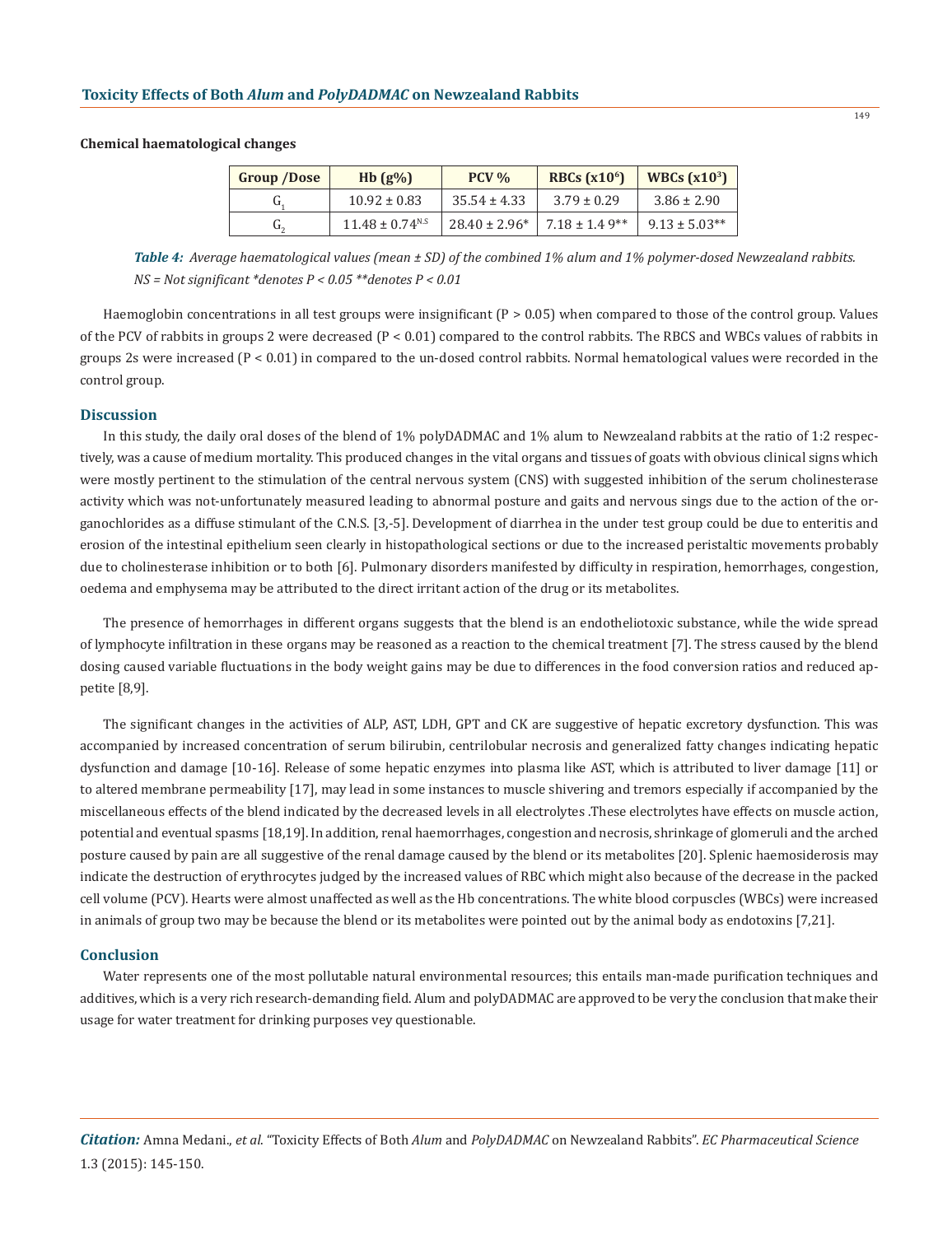# **Group /Dose Hb (g%) PCV % RBCs (x106) WBCs (x103)**  $G_1$  10.92 ± 0.83 35.54 ± 4.33 3.79 ± 0.29 3.86 ± 2.90  $G_2$  11.48 ± 0.74<sup>N.S</sup> 28.40 ± 2.96\* 7.18 ± 1.4 9\*\* 9.13 ± 5.03\*\*

*Table 4: Average haematological values (mean ± SD) of the combined 1% alum and 1% polymer-dosed Newzealand rabbits. NS = Not significant \*denotes P < 0.05 \*\*denotes P < 0.01*

Haemoglobin concentrations in all test groups were insignificant  $(P > 0.05)$  when compared to those of the control group. Values of the PCV of rabbits in groups 2 were decreased (P < 0.01) compared to the control rabbits. The RBCS and WBCs values of rabbits in groups 2s were increased  $(P < 0.01)$  in compared to the un-dosed control rabbits. Normal hematological values were recorded in the control group.

## **Discussion**

**Chemical haematological changes**

In this study, the daily oral doses of the blend of 1% polyDADMAC and 1% alum to Newzealand rabbits at the ratio of 1:2 respectively, was a cause of medium mortality. This produced changes in the vital organs and tissues of goats with obvious clinical signs which were mostly pertinent to the stimulation of the central nervous system (CNS) with suggested inhibition of the serum cholinesterase activity which was not-unfortunately measured leading to abnormal posture and gaits and nervous sings due to the action of the organochlorides as a diffuse stimulant of the C.N.S. [3,-5]. Development of diarrhea in the under test group could be due to enteritis and erosion of the intestinal epithelium seen clearly in histopathological sections or due to the increased peristaltic movements probably due to cholinesterase inhibition or to both [6]. Pulmonary disorders manifested by difficulty in respiration, hemorrhages, congestion, oedema and emphysema may be attributed to the direct irritant action of the drug or its metabolites.

The presence of hemorrhages in different organs suggests that the blend is an endotheliotoxic substance, while the wide spread of lymphocyte infiltration in these organs may be reasoned as a reaction to the chemical treatment [7]. The stress caused by the blend dosing caused variable fluctuations in the body weight gains may be due to differences in the food conversion ratios and reduced appetite [8,9].

The significant changes in the activities of ALP, AST, LDH, GPT and CK are suggestive of hepatic excretory dysfunction. This was accompanied by increased concentration of serum bilirubin, centrilobular necrosis and generalized fatty changes indicating hepatic dysfunction and damage [10-16]. Release of some hepatic enzymes into plasma like AST, which is attributed to liver damage [11] or to altered membrane permeability [17], may lead in some instances to muscle shivering and tremors especially if accompanied by the miscellaneous effects of the blend indicated by the decreased levels in all electrolytes .These electrolytes have effects on muscle action, potential and eventual spasms [18,19]. In addition, renal haemorrhages, congestion and necrosis, shrinkage of glomeruli and the arched posture caused by pain are all suggestive of the renal damage caused by the blend or its metabolites [20]. Splenic haemosiderosis may indicate the destruction of erythrocytes judged by the increased values of RBC which might also because of the decrease in the packed cell volume (PCV). Hearts were almost unaffected as well as the Hb concentrations. The white blood corpuscles (WBCs) were increased in animals of group two may be because the blend or its metabolites were pointed out by the animal body as endotoxins [7,21].

## **Conclusion**

Water represents one of the most pollutable natural environmental resources; this entails man-made purification techniques and additives, which is a very rich research-demanding field. Alum and polyDADMAC are approved to be very the conclusion that make their usage for water treatment for drinking purposes vey questionable.

*Citation:* Amna Medani., *et al*. "Toxicity Effects of Both *Alum* and *PolyDADMAC* on Newzealand Rabbits". *EC Pharmaceutical Science* 1.3 (2015): 145-150.